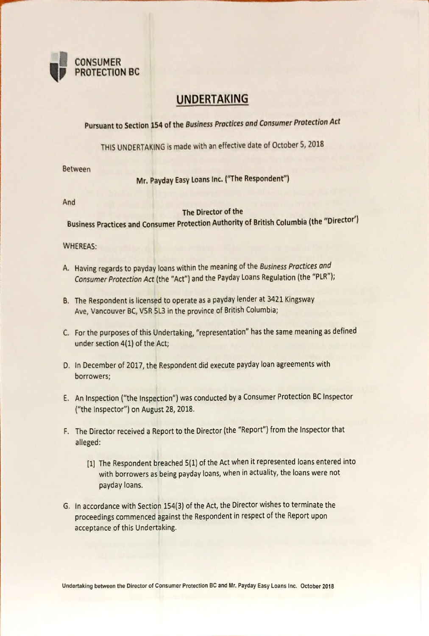

## UNDERTAKING

Pursuant to Section 154 of the Business Practices and Consumer Protection Act

THIS UNDERTAKING is made with an effective date of October 5, 2018

Between

Mr. Payday Easy Loans Inc. ("The Respondent")

And

## The Director of the

Business Practices and Consumer Protection Authority of British Columbia (the "Director')

## WHEREAS:

- A. Having regards to payday loans within the meaning Of the Business Practices and Consumer Protection Act (the "Act") and the Payday Loans Regulation (the "PLR");
- B. The Respondent is licensed to operate as a payday lender at 3421 Kingsway Ave. Vancouver BC, V5R SL3 in the province of British Columbia;
- C. For the purposes of this Undertaking, "representation" has the same meaning as defined under section 4(1) of the Act;
- D. In December of 2017, the Respondent did execute payday loan agreements with borrowers;
- E. An Inspection ("the Inspection") was conducted by a Consumer Protection BC Inspector ("the Inspector") on August 28, 2018.
- F. The Director received a Report to the Director (the "Report") from the Inspector that alleged:
	- (1) The Respondent breached 5(1) of the Act when it represented loans entered into with borrowers as being payday loans, when in actuality, the loans were not payday loans.
- G. In accordance with Section 154(3) of the Act, the Director wishes to terminate the proceedings commenced against the Respondent in respect of the Report upon acceptance of this Undertaking.

Undertaking botween the Director of Consumer Protection BC and Mr. Payday Easy Loans Inc. October 2018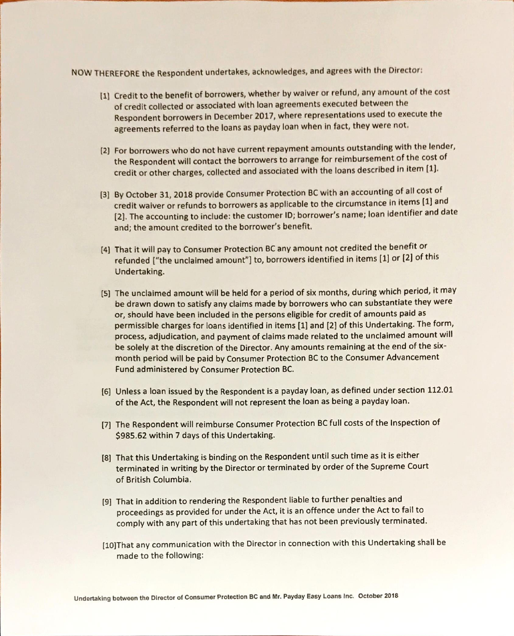NOW THEREFORE the Respondent undertakes, acknowledges, and agrees with the Director:

- (Il Credit to the benefit of borrowers, whether by waiver or refund, any amount of the cost of credit collected or associated with loan agreements executed between the Respondent borrowers in December 2017, where representations used to execute the agreements referred to the loans as payday loan when in fact, they were not.
- (2) For borrowers who do not have current repayment amounts outstanding with the lender, the Respondent will contact the borrowers to arrange for reimbursement of the cost of credit or other charges, collected and associated with the loans described in item
- (3) By October 31, 2018 provide Consumer Protection BC with an accounting of all cost of credit waiver or refunds to borrowers as applicable to the circumstance in items (1] and (2). The accounting to include: the customer ID; borrower's name; loan identifier and date and; the amount credited to the borrower's benefit.
- (4) That it will pay to Consumer Protection BC any amount not credited the benefit or refunded ["the unclaimed amount"] to, borrowers identified in items (1) or (21 of this Undertaking.
- (S) The unclaimed amount will be held for a period of six months, during which period, it may be drawn down to satisfy any claims made by borrowers who can substantiate they were or, should have been included in the persons eligible for credit of amounts paid as permissible charges for loans identified in items [1] and [2] of this Undertaking. The form, process, adjudication, and payment of claims made related to the unclaimed amount will be solely at the discretion of the Director. Any amounts remaining at the end of the sixmonth period will be paid by Consumer Protection BC to the Consumer Advancement Fund administered by Consumer Protection BC.
- (6) Unless a loan issued by the Respondent is a payday loan, as defined under section 112.01 of the Act, the Respondent will not represent the loan as being a payday loan.
- (71 The Respondent will reimburse Consumer Protection BC full costs of the Inspection of \$985.62 within 7 days of this Undertaking.
- [81 That this Undertaking is binding on the Respondent until such time as it is either terminated in writing by the Director or terminated by order of the Supreme Court of British Columbia.
- [91 That in addition to rendering the Respondent liable to further penalties and proceedings as provided for under the Act, it is an offence under the Act to fail to comply with any part of this undertaking that has not been previously terminated.
- [10)That any communication with the Director in connection with this Undertaking shall be made to the following: